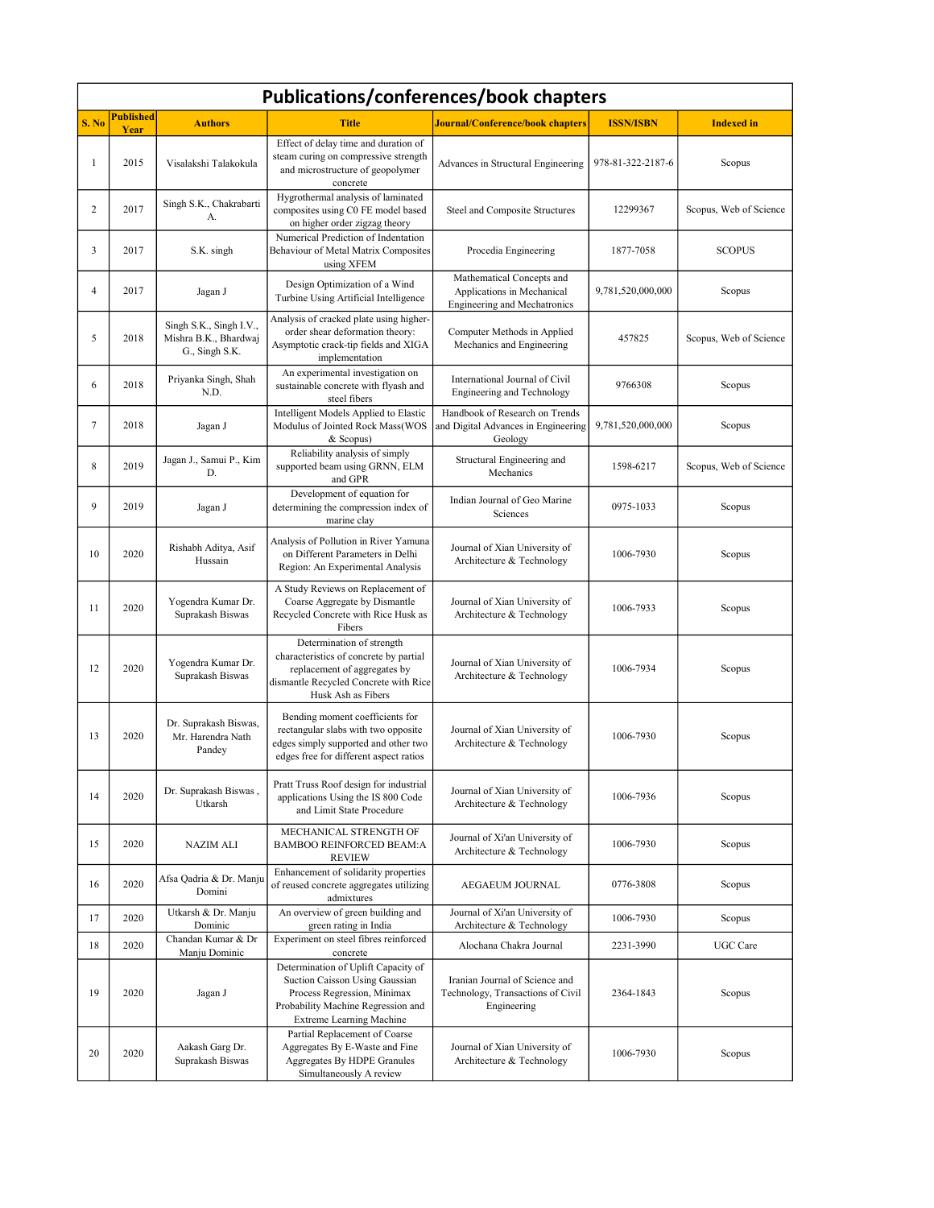| <b>Publications/conferences/book chapters</b> |                          |                                                                    |                                                                                                                                                                               |                                                                                         |                   |                        |
|-----------------------------------------------|--------------------------|--------------------------------------------------------------------|-------------------------------------------------------------------------------------------------------------------------------------------------------------------------------|-----------------------------------------------------------------------------------------|-------------------|------------------------|
| S. No                                         | <b>Published</b><br>Year | <b>Authors</b>                                                     | <b>Title</b>                                                                                                                                                                  | <b>Journal/Conference/book chapters</b>                                                 | <b>ISSN/ISBN</b>  | <b>Indexed</b> in      |
| 1                                             | 2015                     | Visalakshi Talakokula                                              | Effect of delay time and duration of<br>steam curing on compressive strength<br>and microstructure of geopolymer<br>concrete                                                  | Advances in Structural Engineering                                                      | 978-81-322-2187-6 | Scopus                 |
| $\overline{2}$                                | 2017                     | Singh S.K., Chakrabarti<br>A.                                      | Hygrothermal analysis of laminated<br>composites using C0 FE model based<br>on higher order zigzag theory                                                                     | Steel and Composite Structures                                                          | 12299367          | Scopus, Web of Science |
| 3                                             | 2017                     | S.K. singh                                                         | Numerical Prediction of Indentation<br>Behaviour of Metal Matrix Composites<br>using XFEM                                                                                     | Procedia Engineering                                                                    | 1877-7058         | <b>SCOPUS</b>          |
| 4                                             | 2017                     | Jagan J                                                            | Design Optimization of a Wind<br>Turbine Using Artificial Intelligence                                                                                                        | Mathematical Concepts and<br>Applications in Mechanical<br>Engineering and Mechatronics | 9,781,520,000,000 | Scopus                 |
| 5                                             | 2018                     | Singh S.K., Singh I.V.,<br>Mishra B.K., Bhardwaj<br>G., Singh S.K. | Analysis of cracked plate using higher-<br>order shear deformation theory:<br>Asymptotic crack-tip fields and XIGA<br>implementation                                          | Computer Methods in Applied<br>Mechanics and Engineering                                | 457825            | Scopus, Web of Science |
| 6                                             | 2018                     | Priyanka Singh, Shah<br>N.D.                                       | An experimental investigation on<br>sustainable concrete with flyash and<br>steel fibers                                                                                      | International Journal of Civil<br>Engineering and Technology                            | 9766308           | Scopus                 |
| 7                                             | 2018                     | Jagan J                                                            | Intelligent Models Applied to Elastic<br>Modulus of Jointed Rock Mass(WOS<br>& Scopus)                                                                                        | Handbook of Research on Trends<br>and Digital Advances in Engineering<br>Geology        | 9,781,520,000,000 | Scopus                 |
| 8                                             | 2019                     | Jagan J., Samui P., Kim<br>D.                                      | Reliability analysis of simply<br>supported beam using GRNN, ELM<br>and GPR                                                                                                   | Structural Engineering and<br>Mechanics                                                 | 1598-6217         | Scopus, Web of Science |
| 9                                             | 2019                     | Jagan J                                                            | Development of equation for<br>determining the compression index of<br>marine clay                                                                                            | Indian Journal of Geo Marine<br>Sciences                                                | 0975-1033         | Scopus                 |
| 10                                            | 2020                     | Rishabh Aditya, Asif<br>Hussain                                    | Analysis of Pollution in River Yamuna<br>on Different Parameters in Delhi<br>Region: An Experimental Analysis                                                                 | Journal of Xian University of<br>Architecture & Technology                              | 1006-7930         | Scopus                 |
| 11                                            | 2020                     | Yogendra Kumar Dr.<br>Suprakash Biswas                             | A Study Reviews on Replacement of<br>Coarse Aggregate by Dismantle<br>Recycled Concrete with Rice Husk as<br>Fibers                                                           | Journal of Xian University of<br>Architecture & Technology                              | 1006-7933         | Scopus                 |
| 12                                            | 2020                     | Yogendra Kumar Dr.<br>Suprakash Biswas                             | Determination of strength<br>characteristics of concrete by partial<br>replacement of aggregates by<br>dismantle Recycled Concrete with Rice<br>Husk Ash as Fibers            | Journal of Xian University of<br>Architecture & Technology                              | 1006-7934         | Scopus                 |
| 13                                            | 2020                     | Dr. Suprakash Biswas,<br>Mr. Harendra Nath<br>Pandey               | Bending moment coefficients for<br>rectangular slabs with two opposite<br>edges simply supported and other two<br>edges free for different aspect ratios                      | Journal of Xian University of<br>Architecture & Technology                              | 1006-7930         | Scopus                 |
| 14                                            | 2020                     | Dr. Suprakash Biswas,<br>Utkarsh                                   | Pratt Truss Roof design for industrial<br>applications Using the IS 800 Code<br>and Limit State Procedure                                                                     | Journal of Xian University of<br>Architecture & Technology                              | 1006-7936         | Scopus                 |
| 15                                            | 2020                     | NAZIM ALI                                                          | MECHANICAL STRENGTH OF<br><b>BAMBOO REINFORCED BEAM:A</b><br><b>REVIEW</b>                                                                                                    | Journal of Xi'an University of<br>Architecture & Technology                             | 1006-7930         | Scopus                 |
| 16                                            | 2020                     | Afsa Qadria & Dr. Manju<br>Domini                                  | Enhancement of solidarity properties<br>of reused concrete aggregates utilizing<br>admixtures                                                                                 | AEGAEUM JOURNAL                                                                         | 0776-3808         | Scopus                 |
| 17                                            | 2020                     | Utkarsh & Dr. Manju<br>Dominic                                     | An overview of green building and<br>green rating in India                                                                                                                    | Journal of Xi'an University of<br>Architecture & Technology                             | 1006-7930         | Scopus                 |
| 18                                            | 2020                     | Chandan Kumar & Dr<br>Manju Dominic                                | Experiment on steel fibres reinforced<br>concrete                                                                                                                             | Alochana Chakra Journal                                                                 | 2231-3990         | UGC Care               |
| 19                                            | 2020                     | Jagan J                                                            | Determination of Uplift Capacity of<br>Suction Caisson Using Gaussian<br>Process Regression, Minimax<br>Probability Machine Regression and<br><b>Extreme Learning Machine</b> | Iranian Journal of Science and<br>Technology, Transactions of Civil<br>Engineering      | 2364-1843         | Scopus                 |
| 20                                            | 2020                     | Aakash Garg Dr.<br>Suprakash Biswas                                | Partial Replacement of Coarse<br>Aggregates By E-Waste and Fine<br>Aggregates By HDPE Granules<br>Simultaneously A review                                                     | Journal of Xian University of<br>Architecture & Technology                              | 1006-7930         | Scopus                 |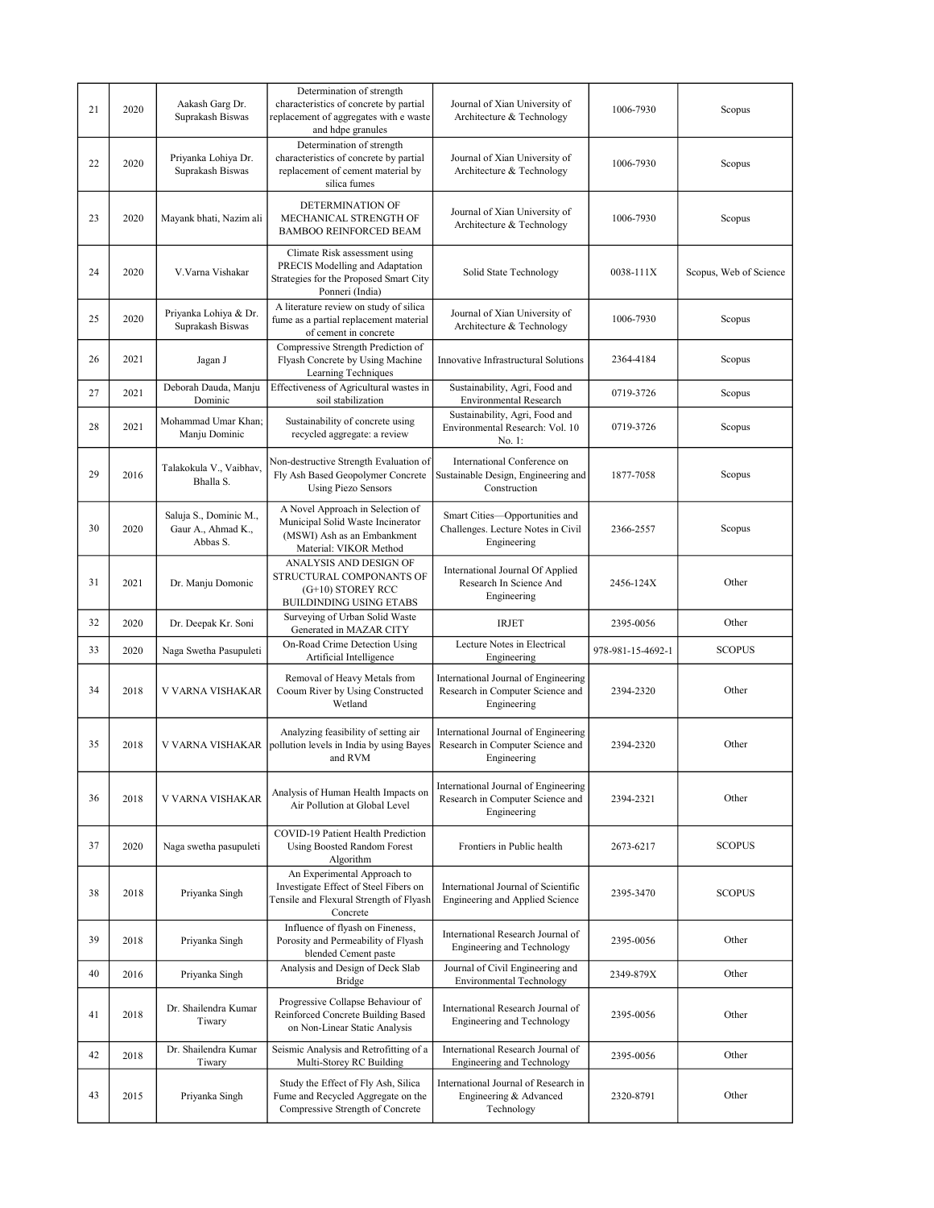| 21 | 2020 | Aakash Garg Dr.<br>Suprakash Biswas                      | Determination of strength<br>characteristics of concrete by partial<br>replacement of aggregates with e waste<br>and hdpe granules | Journal of Xian University of<br>Architecture & Technology                              | 1006-7930         | Scopus                 |
|----|------|----------------------------------------------------------|------------------------------------------------------------------------------------------------------------------------------------|-----------------------------------------------------------------------------------------|-------------------|------------------------|
| 22 | 2020 | Priyanka Lohiya Dr.<br>Suprakash Biswas                  | Determination of strength<br>characteristics of concrete by partial<br>replacement of cement material by<br>silica fumes           | Journal of Xian University of<br>Architecture & Technology                              | 1006-7930         | Scopus                 |
| 23 | 2020 | Mayank bhati, Nazim ali                                  | DETERMINATION OF<br>MECHANICAL STRENGTH OF<br><b>BAMBOO REINFORCED BEAM</b>                                                        | Journal of Xian University of<br>Architecture & Technology                              | 1006-7930         | Scopus                 |
| 24 | 2020 | V.Varna Vishakar                                         | Climate Risk assessment using<br>PRECIS Modelling and Adaptation<br>Strategies for the Proposed Smart City<br>Ponneri (India)      | Solid State Technology                                                                  | 0038-111X         | Scopus, Web of Science |
| 25 | 2020 | Priyanka Lohiya & Dr.<br>Suprakash Biswas                | A literature review on study of silica<br>fume as a partial replacement material<br>of cement in concrete                          | Journal of Xian University of<br>Architecture & Technology                              | 1006-7930         | Scopus                 |
| 26 | 2021 | Jagan J                                                  | Compressive Strength Prediction of<br>Flyash Concrete by Using Machine<br>Learning Techniques                                      | Innovative Infrastructural Solutions                                                    | 2364-4184         | Scopus                 |
| 27 | 2021 | Deborah Dauda, Manju<br>Dominic                          | Effectiveness of Agricultural wastes in<br>soil stabilization                                                                      | Sustainability, Agri, Food and<br>Environmental Research                                | 0719-3726         | Scopus                 |
| 28 | 2021 | Mohammad Umar Khan;<br>Manju Dominic                     | Sustainability of concrete using<br>recycled aggregate: a review                                                                   | Sustainability, Agri, Food and<br>Environmental Research: Vol. 10<br>No. 1:             | 0719-3726         | Scopus                 |
| 29 | 2016 | Talakokula V., Vaibhav,<br>Bhalla S.                     | Non-destructive Strength Evaluation of<br>Fly Ash Based Geopolymer Concrete<br><b>Using Piezo Sensors</b>                          | International Conference on<br>Sustainable Design, Engineering and<br>Construction      | 1877-7058         | Scopus                 |
| 30 | 2020 | Saluja S., Dominic M.,<br>Gaur A., Ahmad K.,<br>Abbas S. | A Novel Approach in Selection of<br>Municipal Solid Waste Incinerator<br>(MSWI) Ash as an Embankment<br>Material: VIKOR Method     | Smart Cities-Opportunities and<br>Challenges. Lecture Notes in Civil<br>Engineering     | 2366-2557         | Scopus                 |
| 31 | 2021 | Dr. Manju Domonic                                        | ANALYSIS AND DESIGN OF<br>STRUCTURAL COMPONANTS OF<br>(G+10) STOREY RCC<br>BUILDINDING USING ETABS                                 | International Journal Of Applied<br>Research In Science And<br>Engineering              | 2456-124X         | Other                  |
| 32 | 2020 | Dr. Deepak Kr. Soni                                      | Surveying of Urban Solid Waste<br>Generated in MAZAR CITY                                                                          | IRJET                                                                                   | 2395-0056         | Other                  |
| 33 | 2020 | Naga Swetha Pasupuleti                                   | On-Road Crime Detection Using<br>Artificial Intelligence                                                                           | Lecture Notes in Electrical<br>Engineering                                              | 978-981-15-4692-1 | <b>SCOPUS</b>          |
| 34 | 2018 | V VARNA VISHAKAR                                         | Removal of Heavy Metals from<br>Cooum River by Using Constructed<br>Wetland                                                        | International Journal of Engineering<br>Research in Computer Science and<br>Engineering | 2394-2320         | Other                  |
| 35 | 2018 | V VARNA VISHAKAR                                         | Analyzing feasibility of setting air<br>pollution levels in India by using Bayes<br>and RVM                                        | International Journal of Engineering<br>Research in Computer Science and<br>Engineering | 2394-2320         | Other                  |
| 36 | 2018 | V VARNA VISHAKAR                                         | Analysis of Human Health Impacts on<br>Air Pollution at Global Level                                                               | International Journal of Engineering<br>Research in Computer Science and<br>Engineering | 2394-2321         | Other                  |
| 37 | 2020 | Naga swetha pasupuleti                                   | COVID-19 Patient Health Prediction<br>Using Boosted Random Forest<br>Algorithm                                                     | Frontiers in Public health                                                              | 2673-6217         | <b>SCOPUS</b>          |
| 38 | 2018 | Priyanka Singh                                           | An Experimental Approach to<br>Investigate Effect of Steel Fibers on<br>Tensile and Flexural Strength of Flyash<br>Concrete        | International Journal of Scientific<br>Engineering and Applied Science                  | 2395-3470         | <b>SCOPUS</b>          |
| 39 | 2018 | Priyanka Singh                                           | Influence of flyash on Fineness,<br>Porosity and Permeability of Flyash<br>blended Cement paste                                    | International Research Journal of<br>Engineering and Technology                         | 2395-0056         | Other                  |
| 40 | 2016 | Priyanka Singh                                           | Analysis and Design of Deck Slab<br>Bridge                                                                                         | Journal of Civil Engineering and<br><b>Environmental Technology</b>                     | 2349-879X         | Other                  |
| 41 | 2018 | Dr. Shailendra Kumar<br>Tiwary                           | Progressive Collapse Behaviour of<br>Reinforced Concrete Building Based<br>on Non-Linear Static Analysis                           | International Research Journal of<br><b>Engineering and Technology</b>                  | 2395-0056         | Other                  |
| 42 | 2018 | Dr. Shailendra Kumar<br>Tiwary                           | Seismic Analysis and Retrofitting of a<br>Multi-Storey RC Building                                                                 | International Research Journal of<br><b>Engineering and Technology</b>                  | 2395-0056         | Other                  |
| 43 | 2015 | Priyanka Singh                                           | Study the Effect of Fly Ash, Silica<br>Fume and Recycled Aggregate on the<br>Compressive Strength of Concrete                      | International Journal of Research in<br>Engineering & Advanced<br>Technology            | 2320-8791         | Other                  |